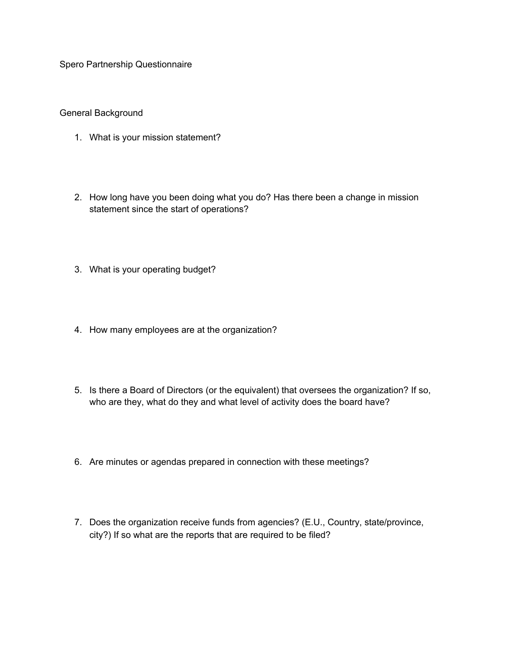Spero Partnership Questionnaire

General Background

- 1. What is your mission statement?
- 2. How long have you been doing what you do? Has there been a change in mission statement since the start of operations?
- 3. What is your operating budget?
- 4. How many employees are at the organization?
- 5. Is there a Board of Directors (or the equivalent) that oversees the organization? If so, who are they, what do they and what level of activity does the board have?
- 6. Are minutes or agendas prepared in connection with these meetings?
- 7. Does the organization receive funds from agencies? (E.U., Country, state/province, city?) If so what are the reports that are required to be filed?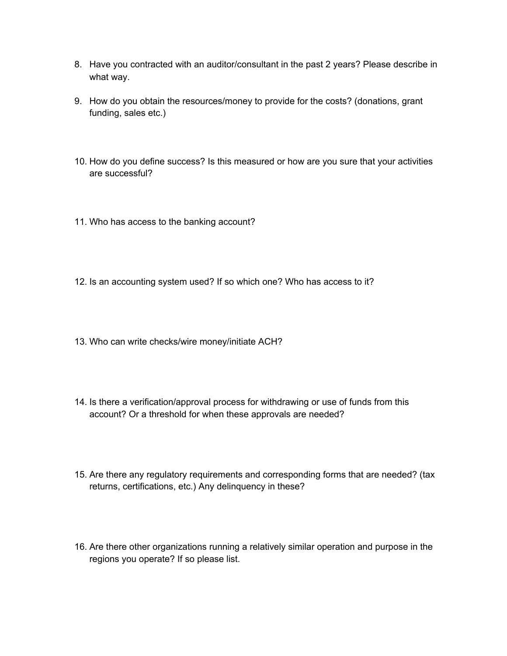- 8. Have you contracted with an auditor/consultant in the past 2 years? Please describe in what way.
- 9. How do you obtain the resources/money to provide for the costs? (donations, grant funding, sales etc.)
- 10. How do you define success? Is this measured or how are you sure that your activities are successful?
- 11. Who has access to the banking account?
- 12. Is an accounting system used? If so which one? Who has access to it?
- 13. Who can write checks/wire money/initiate ACH?
- 14. Is there a verification/approval process for withdrawing or use of funds from this account? Or a threshold for when these approvals are needed?
- 15. Are there any regulatory requirements and corresponding forms that are needed? (tax returns, certifications, etc.) Any delinquency in these?
- 16. Are there other organizations running a relatively similar operation and purpose in the regions you operate? If so please list.